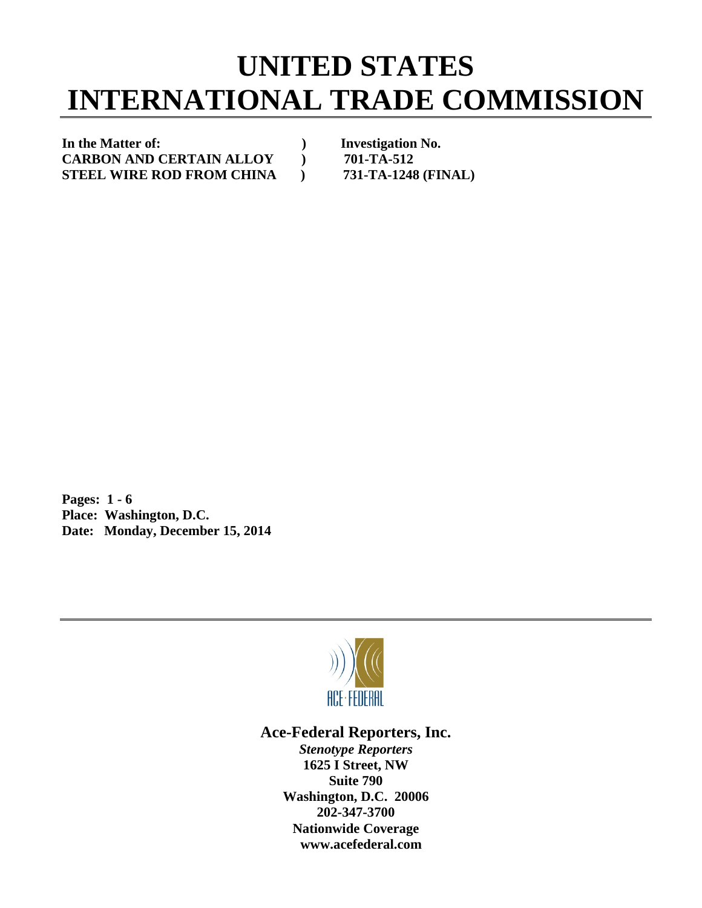## **UNITED STATES INTERNATIONAL TRADE COMMISSION**

In the Matter of: *Investigation No.* **CARBON AND CERTAIN ALLOY ) 701-TA-512 STEEL WIRE ROD FROM CHINA ) 731-TA-1248 (FINAL)** 

**Pages: 1 - 6 Place: Washington, D.C. Date: Monday, December 15, 2014** 



## **Ace-Federal Reporters, Inc.**

*Stenotype Reporters*  **1625 I Street, NW Suite 790 Washington, D.C. 20006 202-347-3700 Nationwide Coverage www.acefederal.com**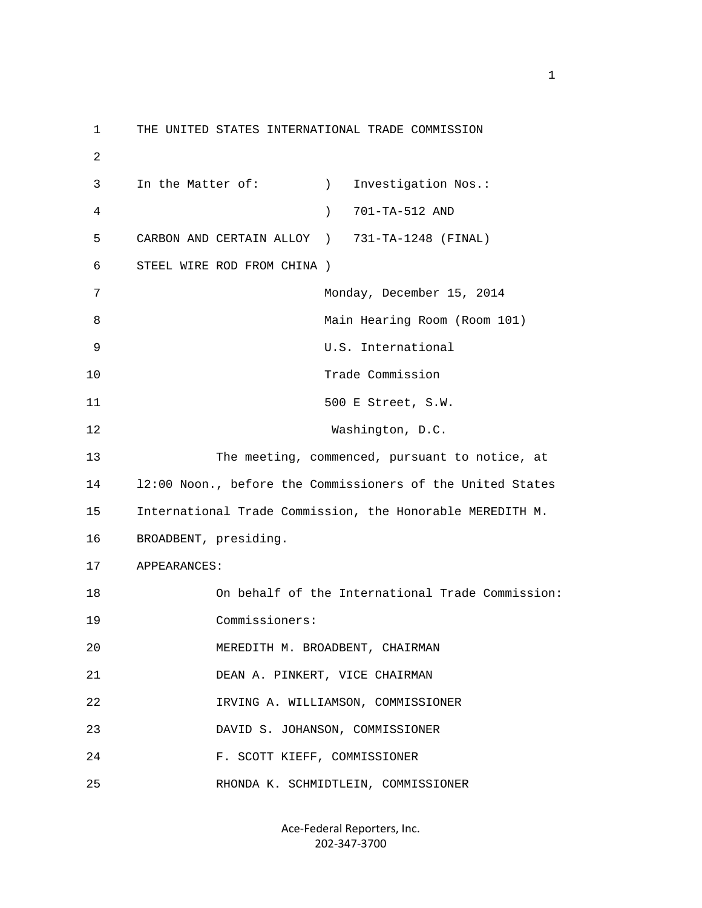1 THE UNITED STATES INTERNATIONAL TRADE COMMISSION 2 3 In the Matter of: ) Investigation Nos.: 4 ) 701-TA-512 AND 5 CARBON AND CERTAIN ALLOY ) 731-TA-1248 (FINAL) 6 STEEL WIRE ROD FROM CHINA ) 7 Monday, December 15, 2014 8 Main Hearing Room (Room 101) 9 U.S. International 10 Trade Commission 11 500 E Street, S.W. 12 Washington, D.C. 13 The meeting, commenced, pursuant to notice, at 14 l2:00 Noon., before the Commissioners of the United States 15 International Trade Commission, the Honorable MEREDITH M. 16 BROADBENT, presiding. 17 APPEARANCES: 18 On behalf of the International Trade Commission: 19 Commissioners: 20 MEREDITH M. BROADBENT, CHAIRMAN 21 DEAN A. PINKERT, VICE CHAIRMAN 22 IRVING A. WILLIAMSON, COMMISSIONER 23 DAVID S. JOHANSON, COMMISSIONER 24 F. SCOTT KIEFF, COMMISSIONER 25 RHONDA K. SCHMIDTLEIN, COMMISSIONER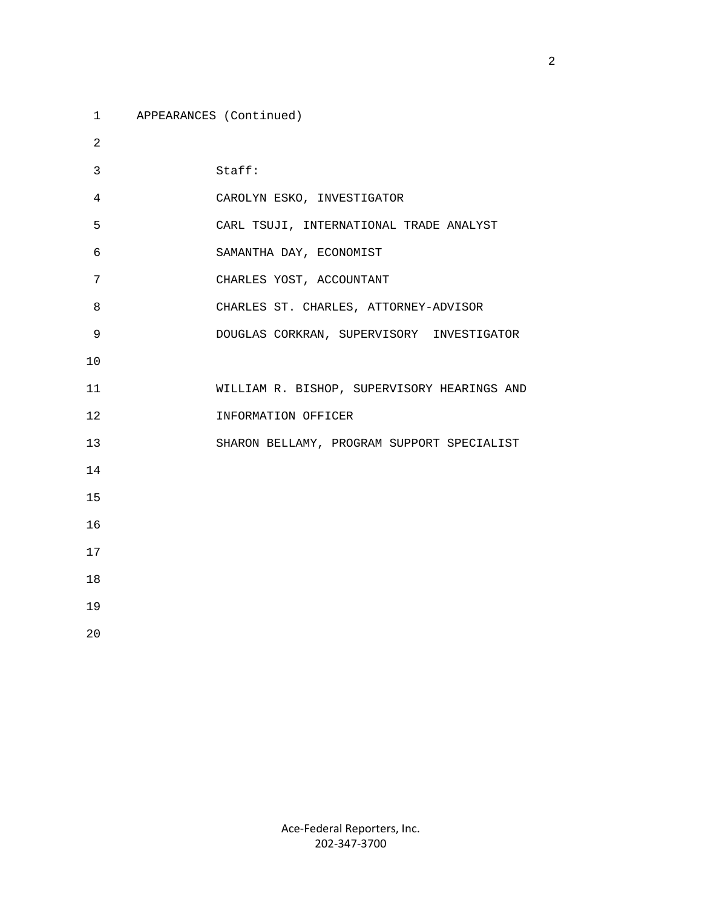1 APPEARANCES (Continued)

 2 3 Staff: 4 CAROLYN ESKO, INVESTIGATOR 5 CARL TSUJI, INTERNATIONAL TRADE ANALYST 6 SAMANTHA DAY, ECONOMIST 7 CHARLES YOST, ACCOUNTANT 8 CHARLES ST. CHARLES, ATTORNEY-ADVISOR 9 DOUGLAS CORKRAN, SUPERVISORY INVESTIGATOR 10 11 WILLIAM R. BISHOP, SUPERVISORY HEARINGS AND 12 INFORMATION OFFICER 13 SHARON BELLAMY, PROGRAM SUPPORT SPECIALIST 14 15 16 17 18 19 20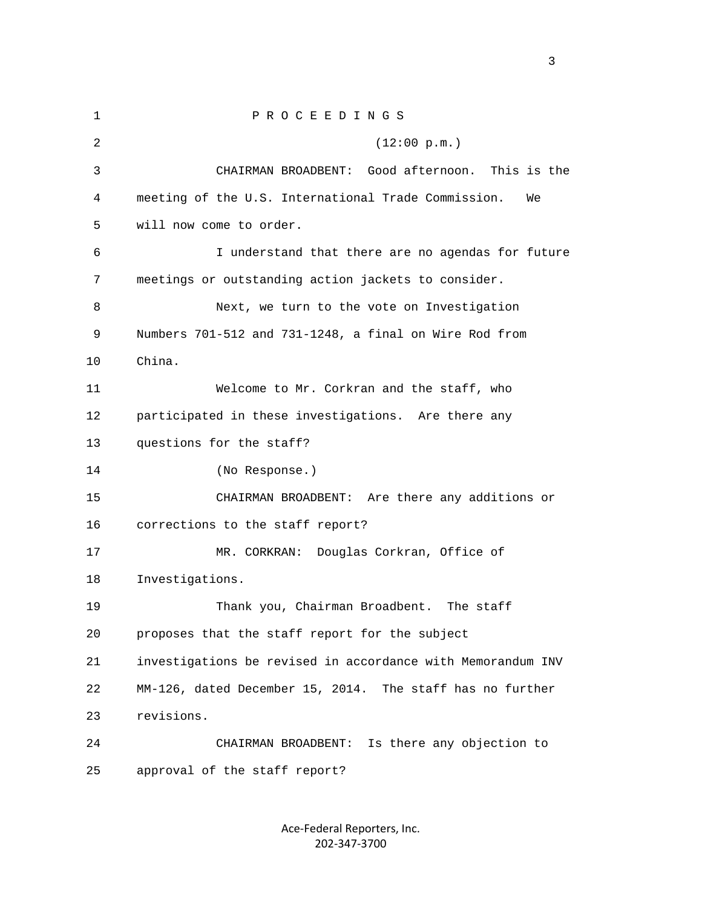1 P R O C E E D I N G S 2 (12:00 p.m.) 3 CHAIRMAN BROADBENT: Good afternoon. This is the 4 meeting of the U.S. International Trade Commission. We 5 will now come to order. 6 I understand that there are no agendas for future 7 meetings or outstanding action jackets to consider. 8 Next, we turn to the vote on Investigation 9 Numbers 701-512 and 731-1248, a final on Wire Rod from 10 China. 11 Welcome to Mr. Corkran and the staff, who 12 participated in these investigations. Are there any 13 questions for the staff? 14 (No Response.) 15 CHAIRMAN BROADBENT: Are there any additions or 16 corrections to the staff report? 17 MR. CORKRAN: Douglas Corkran, Office of 18 Investigations. 19 Thank you, Chairman Broadbent. The staff 20 proposes that the staff report for the subject 21 investigations be revised in accordance with Memorandum INV 22 MM-126, dated December 15, 2014. The staff has no further 23 revisions. 24 CHAIRMAN BROADBENT: Is there any objection to 25 approval of the staff report?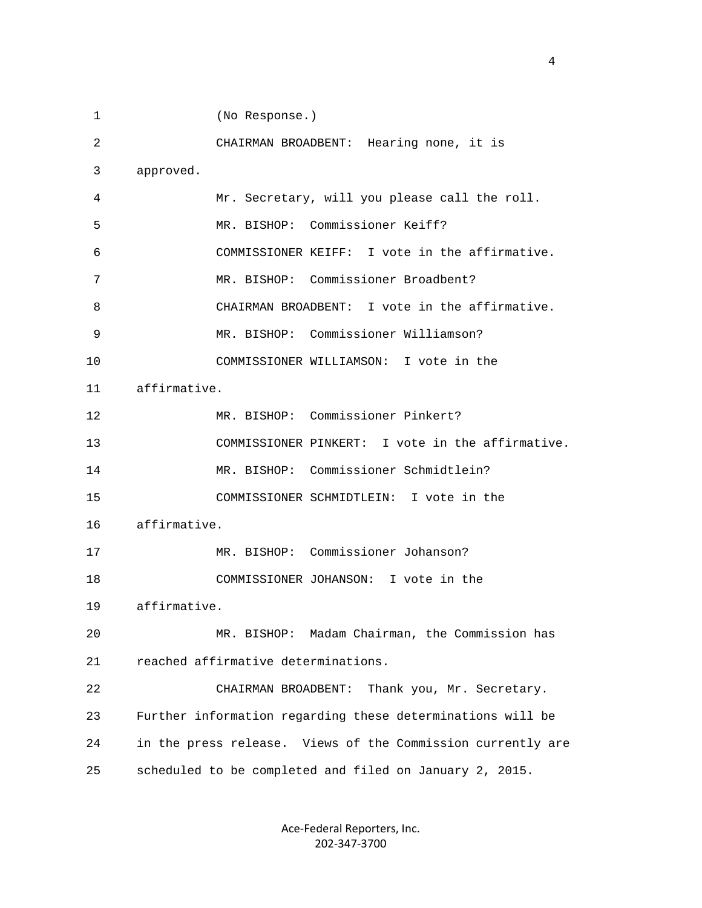1 (No Response.) 2 CHAIRMAN BROADBENT: Hearing none, it is 3 approved. 4 Mr. Secretary, will you please call the roll. 5 MR. BISHOP: Commissioner Keiff? 6 COMMISSIONER KEIFF: I vote in the affirmative. 7 MR. BISHOP: Commissioner Broadbent? 8 CHAIRMAN BROADBENT: I vote in the affirmative. 9 MR. BISHOP: Commissioner Williamson? 10 COMMISSIONER WILLIAMSON: I vote in the 11 affirmative. 12 MR. BISHOP: Commissioner Pinkert? 13 COMMISSIONER PINKERT: I vote in the affirmative. 14 MR. BISHOP: Commissioner Schmidtlein? 15 COMMISSIONER SCHMIDTLEIN: I vote in the 16 affirmative. 17 MR. BISHOP: Commissioner Johanson? 18 COMMISSIONER JOHANSON: I vote in the 19 affirmative. 20 MR. BISHOP: Madam Chairman, the Commission has 21 reached affirmative determinations. 22 CHAIRMAN BROADBENT: Thank you, Mr. Secretary. 23 Further information regarding these determinations will be 24 in the press release. Views of the Commission currently are 25 scheduled to be completed and filed on January 2, 2015.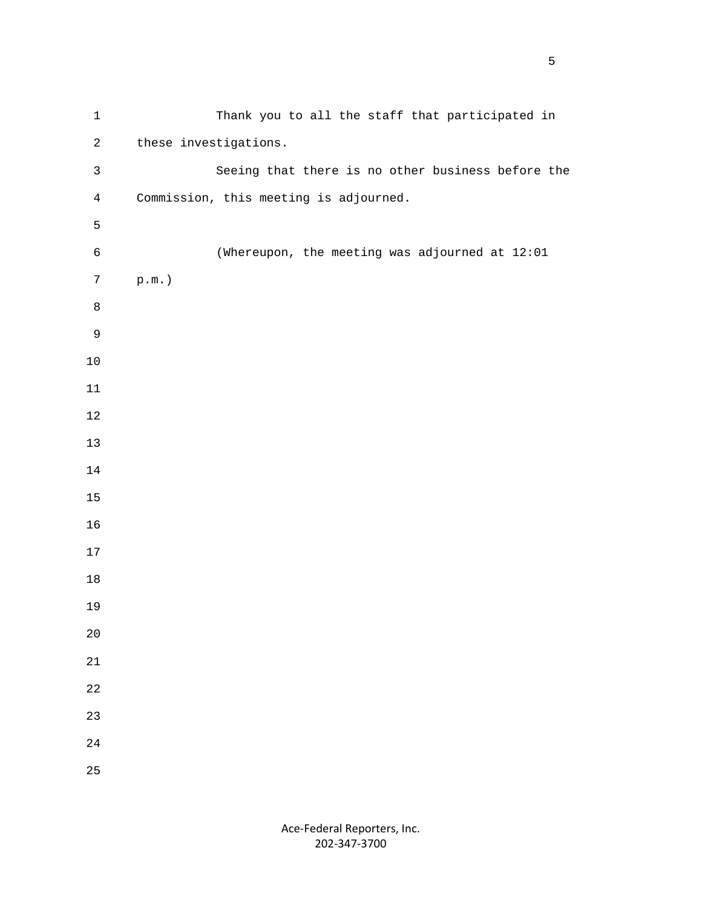| $\mathbf 1$    | Thank you to all the staff that participated in   |
|----------------|---------------------------------------------------|
| $\mathbf{2}$   | these investigations.                             |
| $\mathsf{3}$   | Seeing that there is no other business before the |
| $\overline{4}$ | Commission, this meeting is adjourned.            |
| 5              |                                                   |
| $\epsilon$     | (Whereupon, the meeting was adjourned at 12:01    |
| $\overline{7}$ | $\texttt{p.m.}$ )                                 |
| $\,8\,$        |                                                   |
| $\mathsf 9$    |                                                   |
| $10$           |                                                   |
| 11             |                                                   |
| $1\,2$         |                                                   |
| $13$           |                                                   |
| $14\,$         |                                                   |
| $15$           |                                                   |
| 16             |                                                   |
| $17$           |                                                   |
| $18\,$         |                                                   |
| 19             |                                                   |
| $2\,0$         |                                                   |
| $21\,$         |                                                   |
| 22             |                                                   |
| 23             |                                                   |
| $2\sqrt{4}$    |                                                   |
| 25             |                                                   |

 $\sim$  5